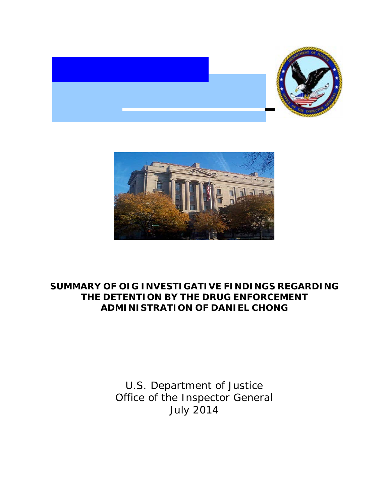



## **SUMMARY OF OIG INVESTIGATIVE FINDINGS REGARDING THE DETENTION BY THE DRUG ENFORCEMENT ADMINISTRATION OF DANIEL CHONG**

U.S. Department of Justice Office of the Inspector General July 2014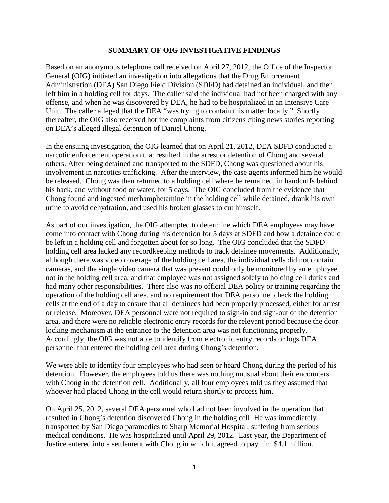## **SUMMARY OF OIG INVESTIGATIVE FINDINGS**

Based on an anonymous telephone call received on April 27, 2012, the Office of the Inspector General (OIG) initiated an investigation into allegations that the Drug Enforcement Administration (DEA) San Diego Field Division (SDFD) had detained an individual, and then left him in a holding cell for days. The caller said the individual had not been charged with any offense, and when he was discovered by DEA, he had to be hospitalized in an Intensive Care Unit. The caller alleged that the DEA "was trying to contain this matter locally." Shortly thereafter, the OIG also received hotline complaints from citizens citing news stories reporting on DEA's alleged illegal detention of Daniel Chong.

In the ensuing investigation, the OIG learned that on April 21, 2012, DEA SDFD conducted a narcotic enforcement operation that resulted in the arrest or detention of Chong and several others. After being detained and transported to the SDFD, Chong was questioned about his involvement in narcotics trafficking. After the interview, the case agents informed him he would be released. Chong was then returned to a holding cell where he remained, in handcuffs behind his back, and without food or water, for 5 days. The OIG concluded from the evidence that Chong found and ingested methamphetamine in the holding cell while detained, drank his own urine to avoid dehydration, and used his broken glasses to cut himself.

As part of our investigation, the OIG attempted to determine which DEA employees may have come into contact with Chong during his detention for 5 days at SDFD and how a detainee could be left in a holding cell and forgotten about for so long. The OIG concluded that the SDFD holding cell area lacked any recordkeeping methods to track detainee movements. Additionally, although there was video coverage of the holding cell area, the individual cells did not contain cameras, and the single video camera that was present could only be monitored by an employee not in the holding cell area, and that employee was not assigned solely to holding cell duties and had many other responsibilities. There also was no official DEA policy or training regarding the operation of the holding cell area, and no requirement that DEA personnel check the holding cells at the end of a day to ensure that all detainees had been properly processed, either for arrest or release. Moreover, DEA personnel were not required to sign-in and sign-out of the detention area, and there were no reliable electronic entry records for the relevant period because the door locking mechanism at the entrance to the detention area was not functioning properly. Accordingly, the OIG was not able to identify from electronic entry records or logs DEA personnel that entered the holding cell area during Chong's detention.

We were able to identify four employees who had seen or heard Chong during the period of his detention. However, the employees told us there was nothing unusual about their encounters with Chong in the detention cell. Additionally, all four employees told us they assumed that whoever had placed Chong in the cell would return shortly to process him.

On April 25, 2012, several DEA personnel who had not been involved in the operation that resulted in Chong's detention discovered Chong in the holding cell. He was immediately transported by San Diego paramedics to Sharp Memorial Hospital, suffering from serious medical conditions. He was hospitalized until April 29, 2012. Last year, the Department of Justice entered into a settlement with Chong in which it agreed to pay him \$4.1 million.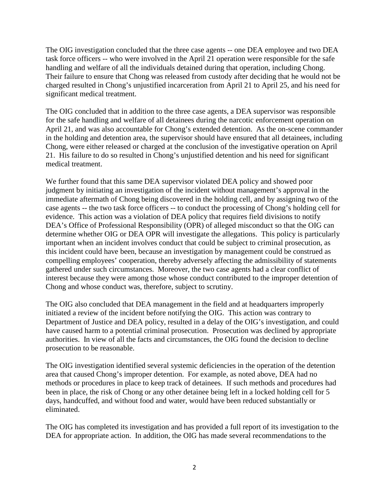The OIG investigation concluded that the three case agents -- one DEA employee and two DEA task force officers -- who were involved in the April 21 operation were responsible for the safe handling and welfare of all the individuals detained during that operation, including Chong. Their failure to ensure that Chong was released from custody after deciding that he would not be charged resulted in Chong's unjustified incarceration from April 21 to April 25, and his need for significant medical treatment.

The OIG concluded that in addition to the three case agents, a DEA supervisor was responsible for the safe handling and welfare of all detainees during the narcotic enforcement operation on April 21, and was also accountable for Chong's extended detention. As the on-scene commander in the holding and detention area, the supervisor should have ensured that all detainees, including Chong, were either released or charged at the conclusion of the investigative operation on April 21. His failure to do so resulted in Chong's unjustified detention and his need for significant medical treatment.

We further found that this same DEA supervisor violated DEA policy and showed poor judgment by initiating an investigation of the incident without management's approval in the immediate aftermath of Chong being discovered in the holding cell, and by assigning two of the case agents -- the two task force officers -- to conduct the processing of Chong's holding cell for evidence. This action was a violation of DEA policy that requires field divisions to notify DEA's Office of Professional Responsibility (OPR) of alleged misconduct so that the OIG can determine whether OIG or DEA OPR will investigate the allegations. This policy is particularly important when an incident involves conduct that could be subject to criminal prosecution, as this incident could have been, because an investigation by management could be construed as compelling employees' cooperation, thereby adversely affecting the admissibility of statements gathered under such circumstances. Moreover, the two case agents had a clear conflict of interest because they were among those whose conduct contributed to the improper detention of Chong and whose conduct was, therefore, subject to scrutiny.

The OIG also concluded that DEA management in the field and at headquarters improperly initiated a review of the incident before notifying the OIG. This action was contrary to Department of Justice and DEA policy, resulted in a delay of the OIG's investigation, and could have caused harm to a potential criminal prosecution. Prosecution was declined by appropriate authorities. In view of all the facts and circumstances, the OIG found the decision to decline prosecution to be reasonable.

The OIG investigation identified several systemic deficiencies in the operation of the detention area that caused Chong's improper detention. For example, as noted above, DEA had no methods or procedures in place to keep track of detainees. If such methods and procedures had been in place, the risk of Chong or any other detainee being left in a locked holding cell for 5 days, handcuffed, and without food and water, would have been reduced substantially or eliminated.

The OIG has completed its investigation and has provided a full report of its investigation to the DEA for appropriate action. In addition, the OIG has made several recommendations to the